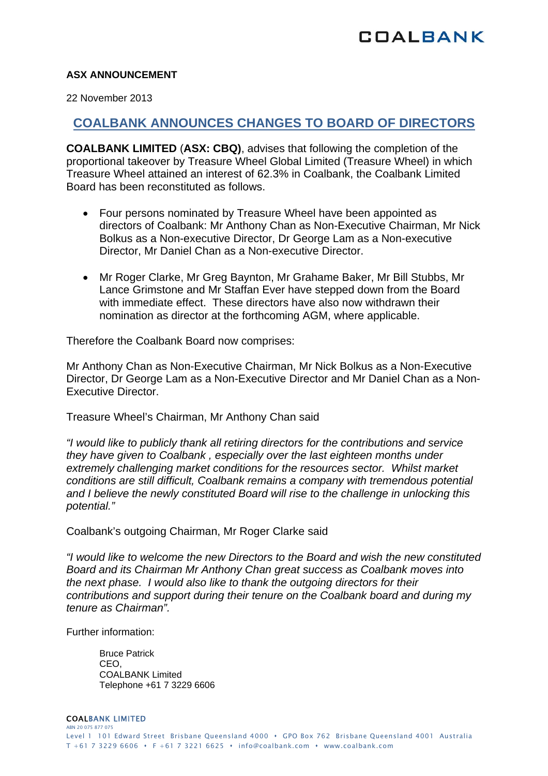#### **ASX ANNOUNCEMENT**

22 November 2013

# **COALBANK ANNOUNCES CHANGES TO BOARD OF DIRECTORS**

**COALBANK LIMITED** (**ASX: CBQ)**, advises that following the completion of the proportional takeover by Treasure Wheel Global Limited (Treasure Wheel) in which Treasure Wheel attained an interest of 62.3% in Coalbank, the Coalbank Limited Board has been reconstituted as follows.

- Four persons nominated by Treasure Wheel have been appointed as directors of Coalbank: Mr Anthony Chan as Non-Executive Chairman, Mr Nick Bolkus as a Non-executive Director, Dr George Lam as a Non-executive Director, Mr Daniel Chan as a Non-executive Director.
- Mr Roger Clarke, Mr Greg Baynton, Mr Grahame Baker, Mr Bill Stubbs, Mr Lance Grimstone and Mr Staffan Ever have stepped down from the Board with immediate effect. These directors have also now withdrawn their nomination as director at the forthcoming AGM, where applicable.

Therefore the Coalbank Board now comprises:

Mr Anthony Chan as Non-Executive Chairman, Mr Nick Bolkus as a Non-Executive Director, Dr George Lam as a Non-Executive Director and Mr Daniel Chan as a Non-Executive Director.

Treasure Wheel's Chairman, Mr Anthony Chan said

*"I would like to publicly thank all retiring directors for the contributions and service they have given to Coalbank , especially over the last eighteen months under extremely challenging market conditions for the resources sector. Whilst market conditions are still difficult, Coalbank remains a company with tremendous potential and I believe the newly constituted Board will rise to the challenge in unlocking this potential."* 

Coalbank's outgoing Chairman, Mr Roger Clarke said

*"I would like to welcome the new Directors to the Board and wish the new constituted Board and its Chairman Mr Anthony Chan great success as Coalbank moves into the next phase. I would also like to thank the outgoing directors for their contributions and support during their tenure on the Coalbank board and during my tenure as Chairman".* 

Further information:

Bruce Patrick CEO, COALBANK Limited Telephone +61 7 3229 6606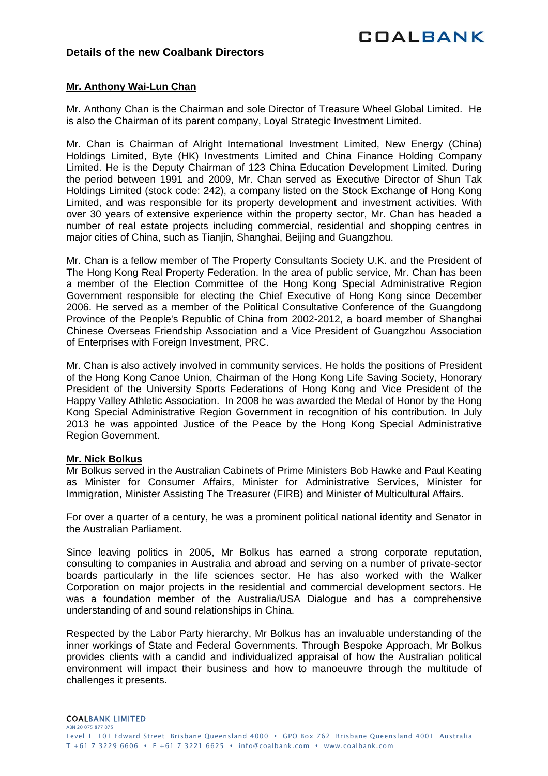## **Details of the new Coalbank Directors**

## **Mr. Anthony Wai-Lun Chan**

Mr. Anthony Chan is the Chairman and sole Director of Treasure Wheel Global Limited. He is also the Chairman of its parent company, Loyal Strategic Investment Limited.

Mr. Chan is Chairman of Alright International Investment Limited, New Energy (China) Holdings Limited, Byte (HK) Investments Limited and China Finance Holding Company Limited. He is the Deputy Chairman of 123 China Education Development Limited. During the period between 1991 and 2009, Mr. Chan served as Executive Director of Shun Tak Holdings Limited (stock code: 242), a company listed on the Stock Exchange of Hong Kong Limited, and was responsible for its property development and investment activities. With over 30 years of extensive experience within the property sector, Mr. Chan has headed a number of real estate projects including commercial, residential and shopping centres in major cities of China, such as Tianjin, Shanghai, Beijing and Guangzhou.

Mr. Chan is a fellow member of The Property Consultants Society U.K. and the President of The Hong Kong Real Property Federation. In the area of public service, Mr. Chan has been a member of the Election Committee of the Hong Kong Special Administrative Region Government responsible for electing the Chief Executive of Hong Kong since December 2006. He served as a member of the Political Consultative Conference of the Guangdong Province of the People's Republic of China from 2002-2012, a board member of Shanghai Chinese Overseas Friendship Association and a Vice President of Guangzhou Association of Enterprises with Foreign Investment, PRC.

Mr. Chan is also actively involved in community services. He holds the positions of President of the Hong Kong Canoe Union, Chairman of the Hong Kong Life Saving Society, Honorary President of the University Sports Federations of Hong Kong and Vice President of the Happy Valley Athletic Association. In 2008 he was awarded the Medal of Honor by the Hong Kong Special Administrative Region Government in recognition of his contribution. In July 2013 he was appointed Justice of the Peace by the Hong Kong Special Administrative Region Government.

#### **Mr. Nick Bolkus**

Mr Bolkus served in the Australian Cabinets of Prime Ministers Bob Hawke and Paul Keating as Minister for Consumer Affairs, Minister for Administrative Services, Minister for Immigration, Minister Assisting The Treasurer (FIRB) and Minister of Multicultural Affairs.

For over a quarter of a century, he was a prominent political national identity and Senator in the Australian Parliament.

Since leaving politics in 2005, Mr Bolkus has earned a strong corporate reputation, consulting to companies in Australia and abroad and serving on a number of private-sector boards particularly in the life sciences sector. He has also worked with the Walker Corporation on major projects in the residential and commercial development sectors. He was a foundation member of the Australia/USA Dialogue and has a comprehensive understanding of and sound relationships in China.

Respected by the Labor Party hierarchy, Mr Bolkus has an invaluable understanding of the inner workings of State and Federal Governments. Through Bespoke Approach, Mr Bolkus provides clients with a candid and individualized appraisal of how the Australian political environment will impact their business and how to manoeuvre through the multitude of challenges it presents.